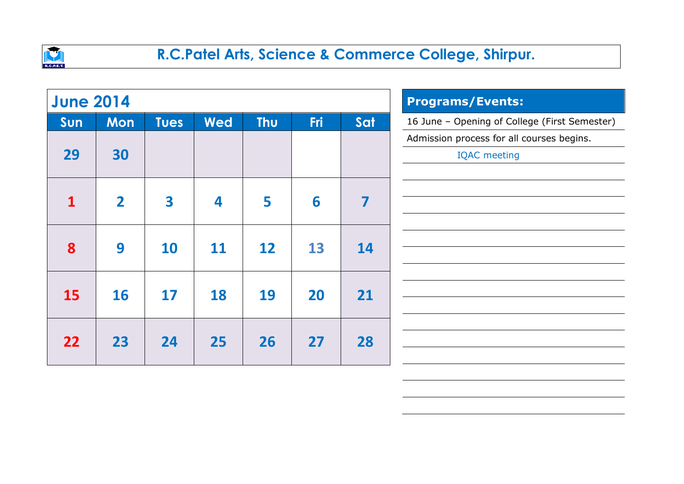

| <b>June 2014</b> |                |                         |            | <b>Programs/Events:</b> |            |     |                                               |
|------------------|----------------|-------------------------|------------|-------------------------|------------|-----|-----------------------------------------------|
| Sun              | <b>Mon</b>     | <b>Tues</b>             | <b>Wed</b> | <b>Thu</b>              | <b>Fri</b> | Sat | 16 June - Opening of College (First Semester) |
|                  |                |                         |            |                         |            |     | Admission process for all courses begins.     |
| 29               | 30             |                         |            |                         |            |     | <b>IQAC</b> meeting                           |
|                  |                |                         |            |                         |            |     |                                               |
| 1                | $\overline{2}$ | $\overline{\mathbf{3}}$ | 4          | 5                       | 6          | 7   |                                               |
|                  |                |                         |            |                         |            |     |                                               |
| 8                | 9              | 10                      | <b>11</b>  | 12                      | 13         | 14  |                                               |
|                  |                |                         |            |                         |            |     |                                               |
|                  |                |                         |            |                         |            |     |                                               |
| <b>15</b>        | <b>16</b>      | 17                      | 18         | 19                      | 20         | 21  |                                               |
|                  |                |                         |            |                         |            |     |                                               |
| 22               | 23             | 24                      | 25         | 26                      | 27         | 28  |                                               |
|                  |                |                         |            |                         |            |     |                                               |
|                  |                |                         |            |                         |            |     |                                               |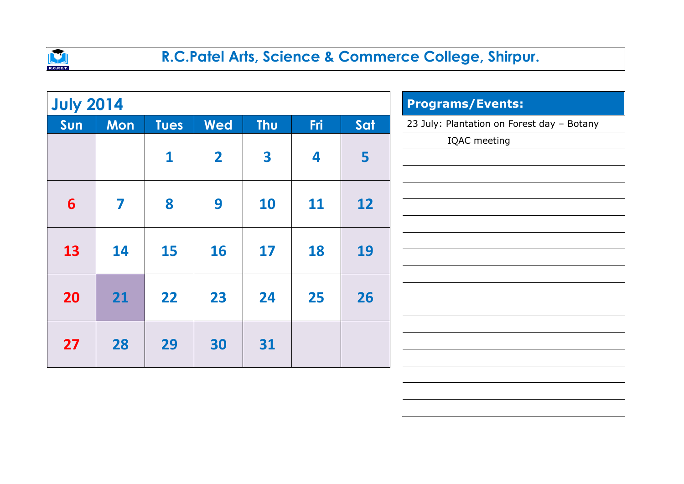

| <b>July 2014</b> |            |              |                         | <b>Programs/Events:</b> |            |     |                                            |
|------------------|------------|--------------|-------------------------|-------------------------|------------|-----|--------------------------------------------|
| Sun              | <b>Mon</b> | <b>Tues</b>  | <b>Wed</b>              | <b>Thu</b>              | <b>Fri</b> | Sat | 23 July: Plantation on Forest day - Botany |
|                  |            | $\mathbf{1}$ | $\overline{\mathbf{2}}$ | 3                       | 4          | 5   | IQAC meeting                               |
| 6                | 7          | 8            | 9                       | <b>10</b>               | <b>11</b>  | 12  |                                            |
| 13               | 14         | <b>15</b>    | <b>16</b>               | 17                      | <b>18</b>  | 19  |                                            |
| <b>20</b>        | 21         | 22           | 23                      | 24                      | 25         | 26  |                                            |
| 27               | 28         | 29           | 30                      | 31                      |            |     |                                            |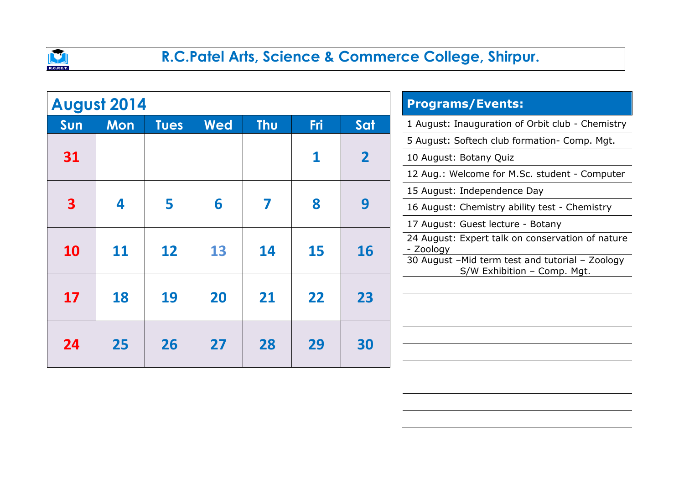

|           | <b>August 2014</b> |             |            | <b>Programs/Events:</b> |     |                 |                                                  |
|-----------|--------------------|-------------|------------|-------------------------|-----|-----------------|--------------------------------------------------|
| Sun       | <b>Mon</b>         | <b>Tues</b> | <b>Wed</b> | <b>Thu</b>              | Fri | Sat             | 1 August: Inauguration of Orbit club - Chemistry |
|           |                    |             |            |                         |     |                 | 5 August: Softech club formation- Comp. Mgt.     |
| 31        |                    |             |            |                         |     |                 | 10 August: Botany Quiz                           |
|           |                    |             |            |                         |     |                 | 12 Aug.: Welcome for M.Sc. student - Computer    |
|           |                    |             |            |                         |     |                 | 15 August: Independence Day                      |
| 3         | 4                  | 5           | 6          |                         | 8   | 9               | 16 August: Chemistry ability test - Chemistry    |
|           |                    |             |            |                         |     |                 | 17 August: Guest lecture - Botany                |
|           |                    |             |            |                         |     | <b>16</b><br>15 | 24 August: Expert talk on conservation of nature |
| <b>10</b> | <b>11</b>          | 12          | 13         | 14                      |     |                 |                                                  |
|           |                    |             |            |                         |     |                 |                                                  |
| 17        | 18                 | 19          | 20         | 21                      | 22  | 23              |                                                  |
|           |                    |             |            |                         |     |                 |                                                  |
|           |                    |             |            |                         |     |                 |                                                  |
| 24        | 25                 | 26          | 27         | 28                      | 29  | 30              |                                                  |
|           |                    |             |            |                         |     |                 |                                                  |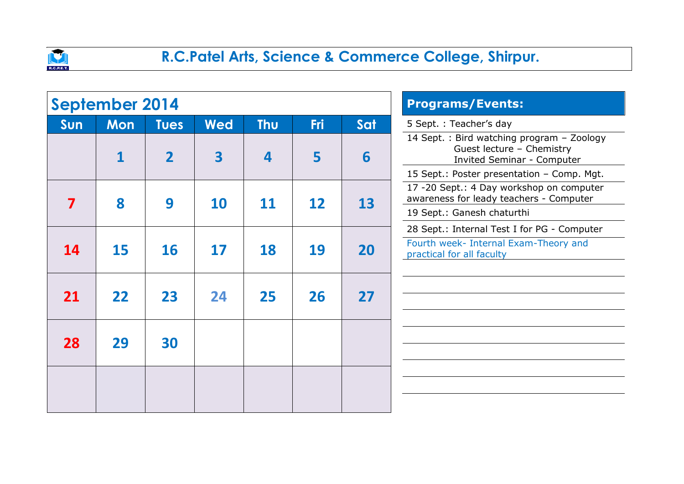

|     | <b>September 2014</b> |                |            | <b>Programs/Events:</b> |            |     |                                                                                                              |
|-----|-----------------------|----------------|------------|-------------------------|------------|-----|--------------------------------------------------------------------------------------------------------------|
| Sun | <b>Mon</b>            | <b>Tues</b>    | <b>Wed</b> | <b>Thu</b>              | <b>Fri</b> | Sat | 5 Sept.: Teacher's day                                                                                       |
|     | 1                     | $\overline{2}$ | 3          | 4                       | 5          | 6   | 14 Sept. : Bird watching program - Zoology<br>Guest lecture - Chemistry<br><b>Invited Seminar - Computer</b> |
|     |                       |                |            |                         |            |     | 15 Sept.: Poster presentation - Comp. Mgt.                                                                   |
| 7   | 8                     | 9              | <b>10</b>  | 11                      | 12         | 13  | 17 -20 Sept.: 4 Day workshop on computer<br>awareness for leady teachers - Computer                          |
|     |                       |                |            |                         |            |     | 19 Sept.: Ganesh chaturthi                                                                                   |
|     |                       |                |            |                         |            |     | 28 Sept.: Internal Test I for PG - Computer                                                                  |
| 14  | 15                    | <b>16</b>      | 17         | 18                      | 19         | 20  | Fourth week- Internal Exam-Theory and<br>practical for all faculty                                           |
|     |                       |                |            |                         |            |     |                                                                                                              |
| 21  | 22                    | 23             | 24         | 25                      | 26         | 27  |                                                                                                              |
|     |                       |                |            |                         |            |     |                                                                                                              |
|     |                       |                |            |                         |            |     |                                                                                                              |
| 28  | 29                    | 30             |            |                         |            |     |                                                                                                              |
|     |                       |                |            |                         |            |     |                                                                                                              |
|     |                       |                |            |                         |            |     |                                                                                                              |
|     |                       |                |            |                         |            |     |                                                                                                              |
|     |                       |                |            |                         |            |     |                                                                                                              |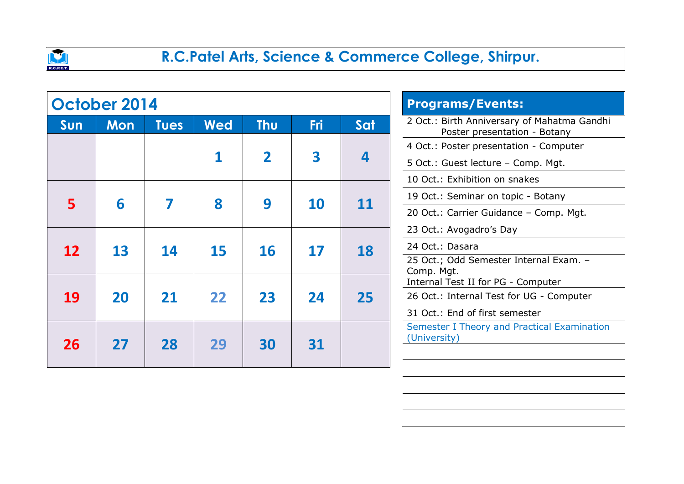

|           | October 2014 |             |            | <b>Programs/Events:</b> |            |                                        |                                                                             |
|-----------|--------------|-------------|------------|-------------------------|------------|----------------------------------------|-----------------------------------------------------------------------------|
| Sun       | <b>Mon</b>   | <b>Tues</b> | <b>Wed</b> | <b>Thu</b>              | <b>Fri</b> | Sat                                    | 2 Oct.: Birth Anniversary of Mahatma Gandhi<br>Poster presentation - Botany |
|           |              |             |            |                         |            | 4 Oct.: Poster presentation - Computer |                                                                             |
|           |              |             |            | $\overline{\mathbf{2}}$ | 3          | $\overline{\mathbf{4}}$                | 5 Oct.: Guest lecture - Comp. Mgt.                                          |
|           |              |             |            |                         |            |                                        | 10 Oct.: Exhibition on snakes                                               |
| 5         | 6            |             | 8          | 9<br><b>10</b>          | <b>11</b>  | 19 Oct.: Seminar on topic - Botany     |                                                                             |
|           |              |             |            |                         |            |                                        | 20 Oct.: Carrier Guidance - Comp. Mgt.                                      |
|           |              |             |            |                         |            | 18                                     | 23 Oct.: Avogadro's Day                                                     |
| <b>12</b> | 13           | 14          | <b>15</b>  | <b>16</b>               | 17         |                                        | 24 Oct.: Dasara                                                             |
|           |              |             |            |                         |            |                                        | 25 Oct.; Odd Semester Internal Exam. -                                      |
|           |              |             |            |                         |            |                                        | Comp. Mgt.<br>Internal Test II for PG - Computer                            |
| 19        | 20           | 21          | 22         | 23                      | 24         | 25                                     | 26 Oct.: Internal Test for UG - Computer                                    |
|           |              |             |            |                         |            |                                        | 31 Oct.: End of first semester                                              |
| 26        | 27           | 28          | 29         | 30                      | 31         |                                        | Semester I Theory and Practical Examination<br>(University)                 |
|           |              |             |            |                         |            |                                        |                                                                             |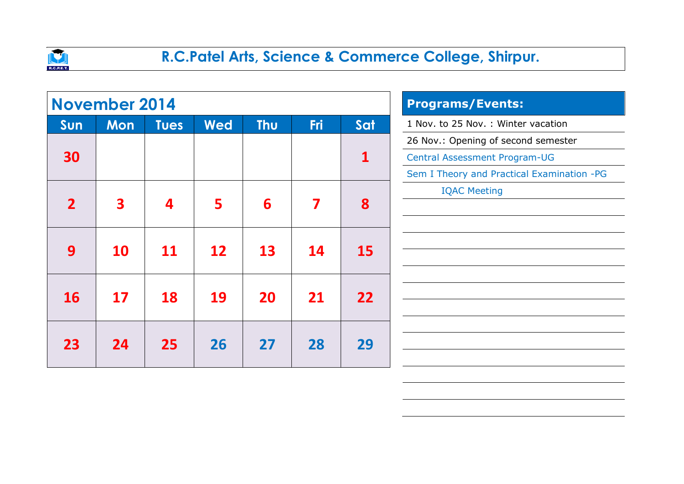

|                | <b>November 2014</b>    |             |            | <b>Programs/Events:</b> |     |              |                                            |
|----------------|-------------------------|-------------|------------|-------------------------|-----|--------------|--------------------------------------------|
| Sun            | <b>Mon</b>              | <b>Tues</b> | <b>Wed</b> | <b>Thu</b>              | Fri | Sat          | 1 Nov. to 25 Nov. : Winter vacation        |
|                |                         |             |            |                         |     |              | 26 Nov.: Opening of second semester        |
| 30             |                         |             |            |                         |     | $\mathbf{1}$ | Central Assessment Program-UG              |
|                |                         |             |            |                         |     |              | Sem I Theory and Practical Examination -PG |
|                |                         |             |            |                         |     |              | <b>IQAC Meeting</b>                        |
| $\overline{2}$ | $\overline{\mathbf{3}}$ | 4           | 5          | 6                       | 7   | 8            |                                            |
|                |                         |             |            |                         |     |              |                                            |
|                |                         |             |            |                         |     |              |                                            |
| 9              | <b>10</b>               | <b>11</b>   | 12         | 13                      | 14  | <b>15</b>    |                                            |
|                |                         |             |            |                         |     |              |                                            |
| <b>16</b>      | 17                      | <b>18</b>   | 19         | <b>20</b>               | 21  | 22           |                                            |
|                |                         |             |            |                         |     |              |                                            |
|                |                         |             |            |                         |     |              |                                            |
| 23             | 24                      | 25          | 26         | 27                      | 28  | 29           |                                            |
|                |                         |             |            |                         |     |              |                                            |
|                |                         |             |            |                         |     |              |                                            |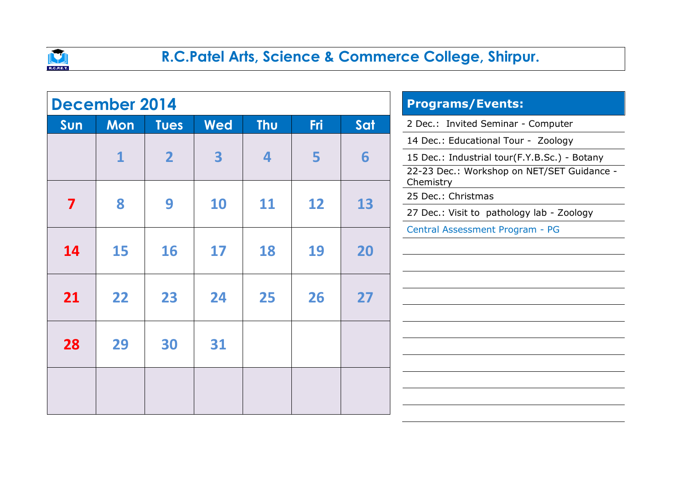

|           | <b>December 2014</b> |                |                         | <b>Programs/Events:</b> |            |     |                                                         |
|-----------|----------------------|----------------|-------------------------|-------------------------|------------|-----|---------------------------------------------------------|
| Sun       | <b>Mon</b>           | <b>Tues</b>    | <b>Wed</b>              | <b>Thu</b>              | <b>Fri</b> | Sat | 2 Dec.: Invited Seminar - Computer                      |
|           |                      |                |                         |                         |            |     | 14 Dec.: Educational Tour - Zoology                     |
|           | 1                    | $\overline{2}$ | $\overline{\mathbf{3}}$ | 4                       | 5          | 6   | 15 Dec.: Industrial tour(F.Y.B.Sc.) - Botany            |
|           |                      |                |                         |                         |            |     | 22-23 Dec.: Workshop on NET/SET Guidance -<br>Chemistry |
| 7         | 8                    | 9              | <b>10</b>               | 11                      | 12         | 13  | 25 Dec.: Christmas                                      |
|           |                      |                |                         |                         |            |     | 27 Dec.: Visit to pathology lab - Zoology               |
|           |                      |                |                         |                         |            |     | Central Assessment Program - PG                         |
| <b>14</b> | <b>15</b>            | <b>16</b>      | 17                      | 18                      | 19         | 20  |                                                         |
|           |                      |                |                         |                         |            |     |                                                         |
|           |                      |                |                         |                         |            |     |                                                         |
| 21        | 22                   | 23             | 24                      | 25                      | 26         | 27  |                                                         |
|           |                      |                |                         |                         |            |     |                                                         |
|           |                      |                |                         |                         |            |     |                                                         |
| 28        | 29                   | 30             | 31                      |                         |            |     |                                                         |
|           |                      |                |                         |                         |            |     |                                                         |
|           |                      |                |                         |                         |            |     |                                                         |
|           |                      |                |                         |                         |            |     |                                                         |
|           |                      |                |                         |                         |            |     |                                                         |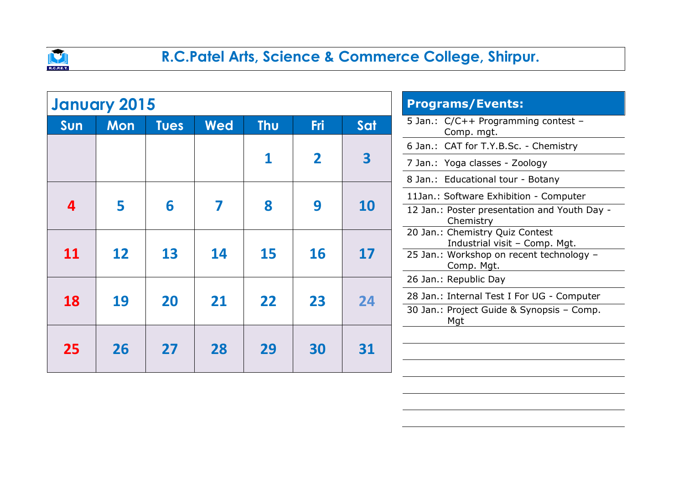

|           | <b>January 2015</b> |             |            | <b>Programs/Events:</b> |                                                                  |                         |                                                           |
|-----------|---------------------|-------------|------------|-------------------------|------------------------------------------------------------------|-------------------------|-----------------------------------------------------------|
| Sun       | <b>Mon</b>          | <b>Tues</b> | <b>Wed</b> | <b>Thu</b>              | <b>Fri</b>                                                       | Sat                     | 5 Jan.: C/C++ Programming contest -<br>Comp. mgt.         |
|           |                     |             |            |                         |                                                                  |                         | 6 Jan.: CAT for T.Y.B.Sc. - Chemistry                     |
|           |                     |             |            | 1                       | $\overline{\mathbf{2}}$                                          | $\overline{\mathbf{3}}$ | 7 Jan.: Yoga classes - Zoology                            |
|           |                     |             |            |                         |                                                                  |                         | 8 Jan.: Educational tour - Botany                         |
|           |                     |             |            |                         |                                                                  |                         | 11Jan.: Software Exhibition - Computer                    |
| 4         | 5                   | 6           |            | 8                       | 9                                                                | <b>10</b>               | 12 Jan.: Poster presentation and Youth Day -<br>Chemistry |
|           |                     |             |            |                         | 20 Jan.: Chemistry Quiz Contest<br>Industrial visit - Comp. Mgt. |                         |                                                           |
| 11        | 12                  | 13          | 14         | 15                      | 16                                                               | 17                      | 25 Jan.: Workshop on recent technology -<br>Comp. Mgt.    |
|           |                     |             |            |                         |                                                                  |                         | 26 Jan.: Republic Day                                     |
| <b>18</b> | 19                  | 20          | 21         | 22                      | 23                                                               | 24                      | 28 Jan.: Internal Test I For UG - Computer                |
|           |                     |             |            |                         |                                                                  |                         | 30 Jan.: Project Guide & Synopsis - Comp.<br>Mgt          |
|           |                     |             |            |                         |                                                                  |                         |                                                           |
| 25        | 26                  | 27          | 28         | 29                      | 30                                                               | 31                      |                                                           |
|           |                     |             |            |                         |                                                                  |                         |                                                           |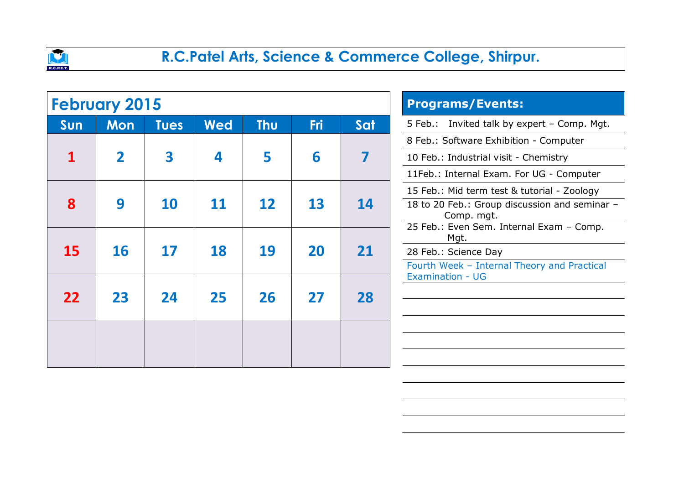

|     | <b>February 2015</b> |             |            | <b>Programs/Events:</b> |                                                  |                 |                                                                        |
|-----|----------------------|-------------|------------|-------------------------|--------------------------------------------------|-----------------|------------------------------------------------------------------------|
| Sun | <b>Mon</b>           | <b>Tues</b> | <b>Wed</b> | <b>Thu</b>              | <b>Fri</b>                                       | Sat             | 5 Feb.: Invited talk by expert - Comp. Mgt.                            |
|     |                      |             |            |                         |                                                  |                 | 8 Feb.: Software Exhibition - Computer                                 |
|     | $\mathbf 2$          | 3           | 4          | 5                       | 6                                                |                 | 10 Feb.: Industrial visit - Chemistry                                  |
|     |                      |             |            |                         |                                                  |                 | 11Feb.: Internal Exam. For UG - Computer                               |
|     |                      |             |            |                         |                                                  | 13<br><b>14</b> | 15 Feb.: Mid term test & tutorial - Zoology                            |
| 8   | 9                    | <b>10</b>   | 11         | 12                      |                                                  |                 | 18 to 20 Feb.: Group discussion and seminar -<br>Comp. mgt.            |
|     |                      |             |            |                         | 25 Feb.: Even Sem. Internal Exam - Comp.<br>Mgt. |                 |                                                                        |
| 15  | <b>16</b>            | 17          | 18         | 19                      | <b>20</b>                                        | 21              | 28 Feb.: Science Day                                                   |
|     |                      |             |            |                         |                                                  |                 | Fourth Week - Internal Theory and Practical<br><b>Examination - UG</b> |
|     |                      |             |            |                         |                                                  |                 |                                                                        |
| 22  | 23                   | 24          | 25         | 26                      | 27                                               | 28              |                                                                        |
|     |                      |             |            |                         |                                                  |                 |                                                                        |
|     |                      |             |            |                         |                                                  |                 |                                                                        |
|     |                      |             |            |                         |                                                  |                 |                                                                        |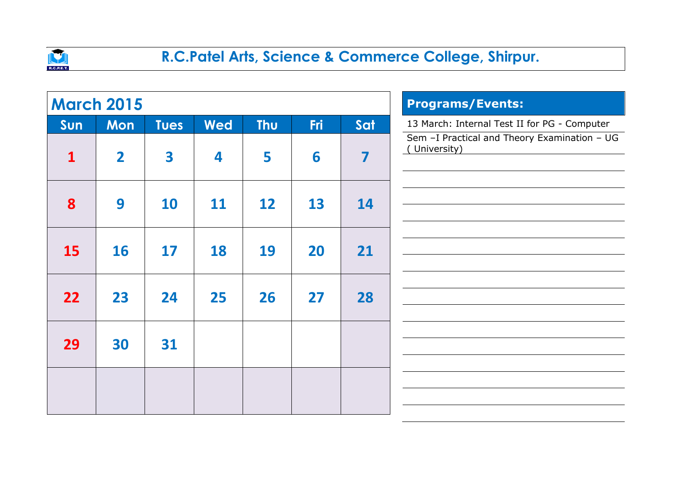

|              | <b>March 2015</b> |             |            | <b>Programs/Events:</b> |            |                         |                                                              |
|--------------|-------------------|-------------|------------|-------------------------|------------|-------------------------|--------------------------------------------------------------|
| Sun          | Mon               | <b>Tues</b> | <b>Wed</b> | <b>Thu</b>              | <b>Fri</b> | Sat                     | 13 March: Internal Test II for PG - Computer                 |
| $\mathbf{1}$ | $\overline{2}$    | 3           | 4          | 5                       | 6          | $\overline{\mathbf{z}}$ | Sem -I Practical and Theory Examination - UG<br>(University) |
| 8            | 9                 | 10          | <b>11</b>  | 12                      | 13         | 14                      |                                                              |
| <b>15</b>    | <b>16</b>         | 17          | <b>18</b>  | 19                      | 20         | 21                      |                                                              |
| 22           | 23                | 24          | 25         | 26                      | 27         | 28                      |                                                              |
| 29           | 30                | 31          |            |                         |            |                         |                                                              |
|              |                   |             |            |                         |            |                         |                                                              |